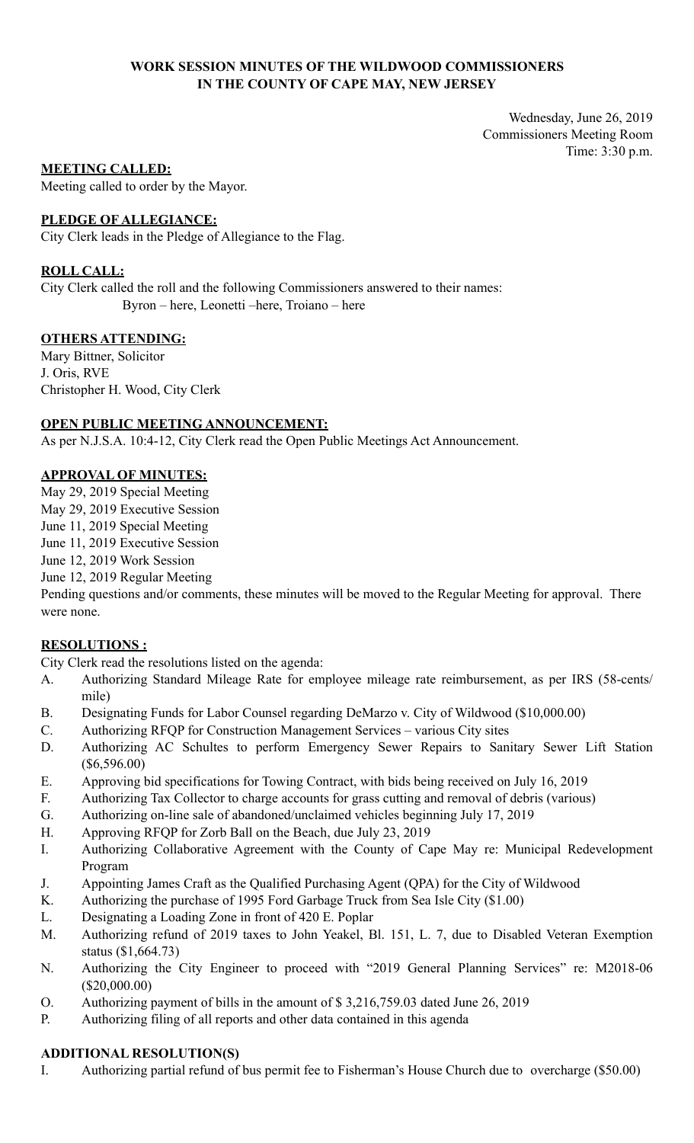### **WORK SESSION MINUTES OF THE WILDWOOD COMMISSIONERS IN THE COUNTY OF CAPE MAY, NEW JERSEY**

Wednesday, June 26, 2019 Commissioners Meeting Room Time: 3:30 p.m.

### **MEETING CALLED:**

Meeting called to order by the Mayor.

### **PLEDGE OF ALLEGIANCE:**

City Clerk leads in the Pledge of Allegiance to the Flag.

### **ROLL CALL:**

City Clerk called the roll and the following Commissioners answered to their names: Byron – here, Leonetti –here, Troiano – here

### **OTHERS ATTENDING:**

Mary Bittner, Solicitor J. Oris, RVE Christopher H. Wood, City Clerk

### **OPEN PUBLIC MEETING ANNOUNCEMENT:**

As per N.J.S.A. 10:4-12, City Clerk read the Open Public Meetings Act Announcement.

### **APPROVAL OF MINUTES:**

May 29, 2019 Special Meeting

May 29, 2019 Executive Session

June 11, 2019 Special Meeting

June 11, 2019 Executive Session

June 12, 2019 Work Session

June 12, 2019 Regular Meeting

Pending questions and/or comments, these minutes will be moved to the Regular Meeting for approval. There were none.

# **RESOLUTIONS :**

City Clerk read the resolutions listed on the agenda:

- A. Authorizing Standard Mileage Rate for employee mileage rate reimbursement, as per IRS (58-cents/ mile)
- B. Designating Funds for Labor Counsel regarding DeMarzo v. City of Wildwood (\$10,000.00)
- C. Authorizing RFQP for Construction Management Services various City sites
- D. Authorizing AC Schultes to perform Emergency Sewer Repairs to Sanitary Sewer Lift Station (\$6,596.00)
- E. Approving bid specifications for Towing Contract, with bids being received on July 16, 2019
- F. Authorizing Tax Collector to charge accounts for grass cutting and removal of debris (various)
- G. Authorizing on-line sale of abandoned/unclaimed vehicles beginning July 17, 2019
- H. Approving RFQP for Zorb Ball on the Beach, due July 23, 2019
- I. Authorizing Collaborative Agreement with the County of Cape May re: Municipal Redevelopment Program
- J. Appointing James Craft as the Qualified Purchasing Agent (QPA) for the City of Wildwood
- K. Authorizing the purchase of 1995 Ford Garbage Truck from Sea Isle City (\$1.00)
- L. Designating a Loading Zone in front of 420 E. Poplar
- M. Authorizing refund of 2019 taxes to John Yeakel, Bl. 151, L. 7, due to Disabled Veteran Exemption status (\$1,664.73)
- N. Authorizing the City Engineer to proceed with "2019 General Planning Services" re: M2018-06 (\$20,000.00)
- O. Authorizing payment of bills in the amount of \$ 3,216,759.03 dated June 26, 2019
- P. Authorizing filing of all reports and other data contained in this agenda

#### **ADDITIONAL RESOLUTION(S)**

I. Authorizing partial refund of bus permit fee to Fisherman's House Church due to overcharge (\$50.00)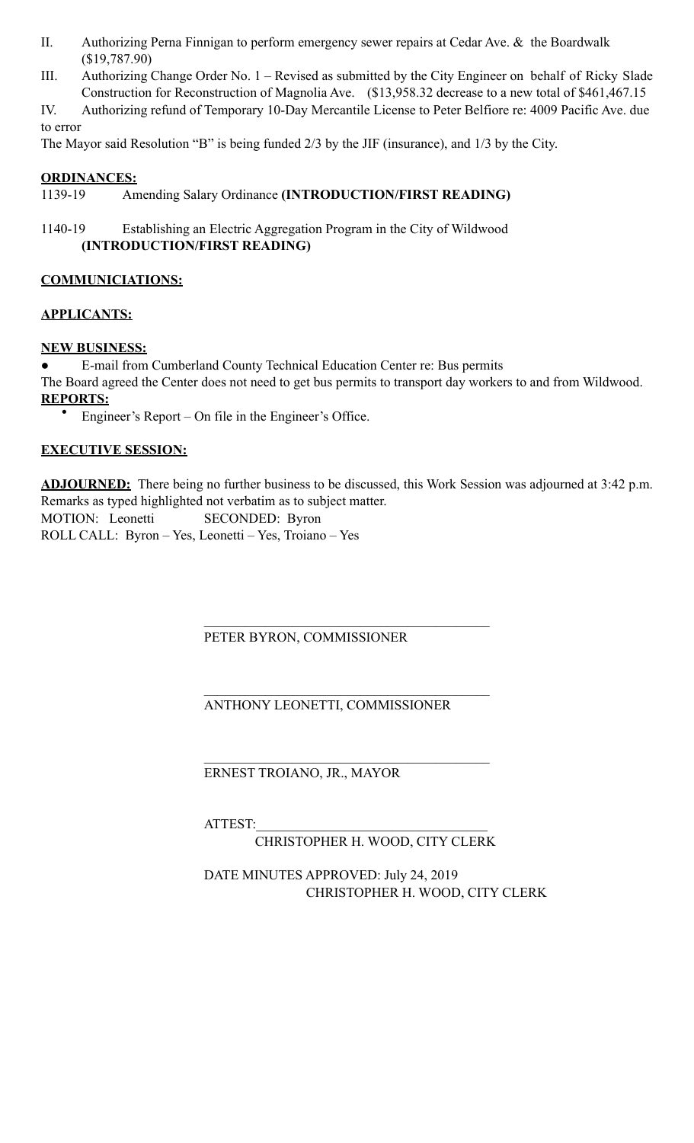- II. Authorizing Perna Finnigan to perform emergency sewer repairs at Cedar Ave. & the Boardwalk (\$19,787.90)
- III. Authorizing Change Order No. 1 Revised as submitted by the City Engineer on behalf of Ricky Slade Construction for Reconstruction of Magnolia Ave. (\$13,958.32 decrease to a new total of \$461,467.15

IV. Authorizing refund of Temporary 10-Day Mercantile License to Peter Belfiore re: 4009 Pacific Ave. due to error

The Mayor said Resolution "B" is being funded 2/3 by the JIF (insurance), and 1/3 by the City.

## **ORDINANCES:**

# 1139-19 Amending Salary Ordinance **(INTRODUCTION/FIRST READING)**

1140-19 Establishing an Electric Aggregation Program in the City of Wildwood **(INTRODUCTION/FIRST READING)**

# **COMMUNICIATIONS:**

## **APPLICANTS:**

## **NEW BUSINESS:**

E-mail from Cumberland County Technical Education Center re: Bus permits The Board agreed the Center does not need to get bus permits to transport day workers to and from Wildwood. **REPORTS:** 

• Engineer's Report – On file in the Engineer's Office.

# **EXECUTIVE SESSION:**

**ADJOURNED:** There being no further business to be discussed, this Work Session was adjourned at 3:42 p.m. Remarks as typed highlighted not verbatim as to subject matter. MOTION: Leonetti SECONDED: Byron ROLL CALL: Byron – Yes, Leonetti – Yes, Troiano – Yes

 $\mathcal{L}_\mathcal{L} = \mathcal{L}_\mathcal{L} = \mathcal{L}_\mathcal{L} = \mathcal{L}_\mathcal{L} = \mathcal{L}_\mathcal{L} = \mathcal{L}_\mathcal{L} = \mathcal{L}_\mathcal{L} = \mathcal{L}_\mathcal{L} = \mathcal{L}_\mathcal{L} = \mathcal{L}_\mathcal{L} = \mathcal{L}_\mathcal{L} = \mathcal{L}_\mathcal{L} = \mathcal{L}_\mathcal{L} = \mathcal{L}_\mathcal{L} = \mathcal{L}_\mathcal{L} = \mathcal{L}_\mathcal{L} = \mathcal{L}_\mathcal{L}$ PETER BYRON, COMMISSIONER

 $\mathcal{L}_\mathcal{L} = \mathcal{L}_\mathcal{L} = \mathcal{L}_\mathcal{L} = \mathcal{L}_\mathcal{L} = \mathcal{L}_\mathcal{L} = \mathcal{L}_\mathcal{L} = \mathcal{L}_\mathcal{L} = \mathcal{L}_\mathcal{L} = \mathcal{L}_\mathcal{L} = \mathcal{L}_\mathcal{L} = \mathcal{L}_\mathcal{L} = \mathcal{L}_\mathcal{L} = \mathcal{L}_\mathcal{L} = \mathcal{L}_\mathcal{L} = \mathcal{L}_\mathcal{L} = \mathcal{L}_\mathcal{L} = \mathcal{L}_\mathcal{L}$ 

 $\mathcal{L}_\mathcal{L} = \mathcal{L}_\mathcal{L} = \mathcal{L}_\mathcal{L} = \mathcal{L}_\mathcal{L} = \mathcal{L}_\mathcal{L} = \mathcal{L}_\mathcal{L} = \mathcal{L}_\mathcal{L} = \mathcal{L}_\mathcal{L} = \mathcal{L}_\mathcal{L} = \mathcal{L}_\mathcal{L} = \mathcal{L}_\mathcal{L} = \mathcal{L}_\mathcal{L} = \mathcal{L}_\mathcal{L} = \mathcal{L}_\mathcal{L} = \mathcal{L}_\mathcal{L} = \mathcal{L}_\mathcal{L} = \mathcal{L}_\mathcal{L}$ 

ANTHONY LEONETTI, COMMISSIONER

ERNEST TROIANO, JR., MAYOR

ATTEST:

CHRISTOPHER H. WOOD, CITY CLERK

 DATE MINUTES APPROVED: July 24, 2019 CHRISTOPHER H. WOOD, CITY CLERK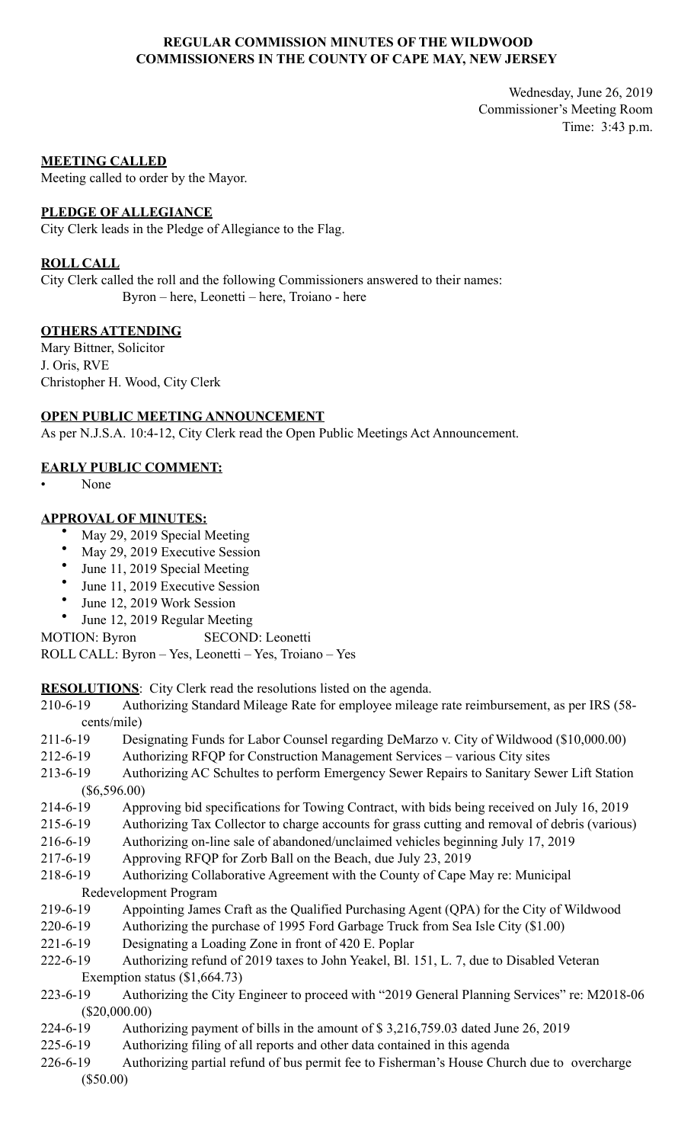### **REGULAR COMMISSION MINUTES OF THE WILDWOOD COMMISSIONERS IN THE COUNTY OF CAPE MAY, NEW JERSEY**

Wednesday, June 26, 2019 Commissioner's Meeting Room Time: 3:43 p.m.

#### **MEETING CALLED**

Meeting called to order by the Mayor.

#### **PLEDGE OF ALLEGIANCE**

City Clerk leads in the Pledge of Allegiance to the Flag.

#### **ROLL CALL**

City Clerk called the roll and the following Commissioners answered to their names: Byron – here, Leonetti – here, Troiano - here

### **OTHERS ATTENDING**

Mary Bittner, Solicitor J. Oris, RVE Christopher H. Wood, City Clerk

### **OPEN PUBLIC MEETING ANNOUNCEMENT**

As per N.J.S.A. 10:4-12, City Clerk read the Open Public Meetings Act Announcement.

### **EARLY PUBLIC COMMENT:**

• None

### **APPROVAL OF MINUTES:**

- May 29, 2019 Special Meeting
- May 29, 2019 Executive Session
- June 11, 2019 Special Meeting
- June 11, 2019 Executive Session
- June 12, 2019 Work Session
- June 12, 2019 Regular Meeting

MOTION: Byron SECOND: Leonetti

ROLL CALL: Byron – Yes, Leonetti – Yes, Troiano – Yes

**RESOLUTIONS**: City Clerk read the resolutions listed on the agenda.

- 210-6-19 Authorizing Standard Mileage Rate for employee mileage rate reimbursement, as per IRS (58 cents/mile)
- 211-6-19 Designating Funds for Labor Counsel regarding DeMarzo v. City of Wildwood (\$10,000.00)
- 212-6-19 Authorizing RFQP for Construction Management Services various City sites
- 213-6-19 Authorizing AC Schultes to perform Emergency Sewer Repairs to Sanitary Sewer Lift Station (\$6,596.00)
- 214-6-19 Approving bid specifications for Towing Contract, with bids being received on July 16, 2019
- 215-6-19 Authorizing Tax Collector to charge accounts for grass cutting and removal of debris (various)
- 216-6-19 Authorizing on-line sale of abandoned/unclaimed vehicles beginning July 17, 2019
- 217-6-19 Approving RFQP for Zorb Ball on the Beach, due July 23, 2019
- 218-6-19 Authorizing Collaborative Agreement with the County of Cape May re: Municipal Redevelopment Program
- 219-6-19 Appointing James Craft as the Qualified Purchasing Agent (QPA) for the City of Wildwood
- 220-6-19 Authorizing the purchase of 1995 Ford Garbage Truck from Sea Isle City (\$1.00)
- 221-6-19 Designating a Loading Zone in front of 420 E. Poplar
- 222-6-19 Authorizing refund of 2019 taxes to John Yeakel, Bl. 151, L. 7, due to Disabled Veteran Exemption status (\$1,664.73)
- 223-6-19 Authorizing the City Engineer to proceed with "2019 General Planning Services" re: M2018-06 (\$20,000.00)
- 224-6-19 Authorizing payment of bills in the amount of \$ 3,216,759.03 dated June 26, 2019
- 225-6-19 Authorizing filing of all reports and other data contained in this agenda
- 226-6-19 Authorizing partial refund of bus permit fee to Fisherman's House Church due to overcharge (\$50.00)